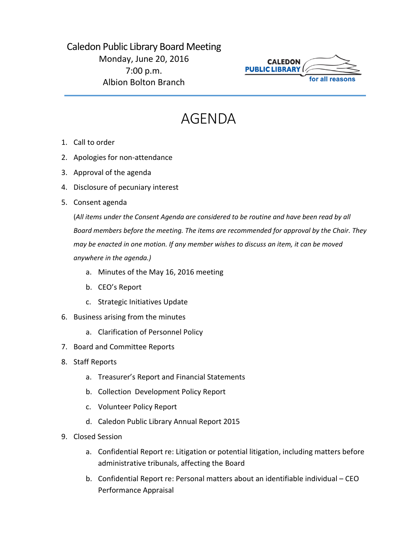## Caledon Public Library Board Meeting Monday, June 20, 2016 7:00 p.m. Albion Bolton Branch



## AGENDA

- 1. Call to order
- 2. Apologies for non-attendance
- 3. Approval of the agenda
- 4. Disclosure of pecuniary interest
- 5. Consent agenda

(*All items under the Consent Agenda are considered to be routine and have been read by all Board members before the meeting. The items are recommended for approval by the Chair. They may be enacted in one motion. If any member wishes to discuss an item, it can be moved anywhere in the agenda.)*

- a. Minutes of the May 16, 2016 meeting
- b. CEO's Report
- c. Strategic Initiatives Update
- 6. Business arising from the minutes
	- a. Clarification of Personnel Policy
- 7. Board and Committee Reports
- 8. Staff Reports
	- a. Treasurer's Report and Financial Statements
	- b. Collection Development Policy Report
	- c. Volunteer Policy Report
	- d. Caledon Public Library Annual Report 2015
- 9. Closed Session
	- a. Confidential Report re: Litigation or potential litigation, including matters before administrative tribunals, affecting the Board
	- b. Confidential Report re: Personal matters about an identifiable individual CEO Performance Appraisal